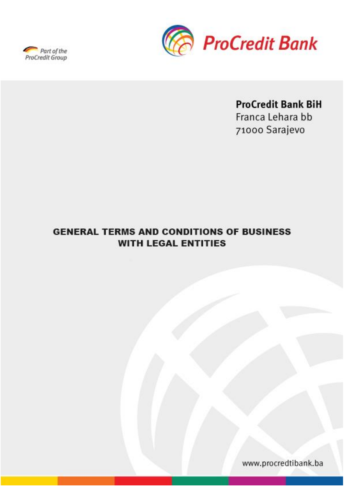



# **ProCredit Bank BiH**

Franca Lehara bb 71000 Sarajevo

# **GENERAL TERMS AND CONDITIONS OF BUSINESS WITH LEGAL ENTITIES**

www.procredtibank.ba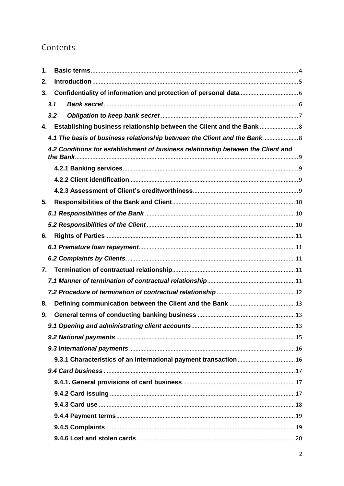# Contents

| 1. |                                                                                  |                                                                    |  |  |
|----|----------------------------------------------------------------------------------|--------------------------------------------------------------------|--|--|
| 2. |                                                                                  |                                                                    |  |  |
| 3. |                                                                                  |                                                                    |  |  |
|    | 3.1                                                                              |                                                                    |  |  |
|    | 3.2                                                                              |                                                                    |  |  |
| 4. |                                                                                  | Establishing business relationship between the Client and the Bank |  |  |
|    | 4.1 The basis of business relationship between the Client and the Bank 8         |                                                                    |  |  |
|    | 4.2 Conditions for establishment of business relationship between the Client and |                                                                    |  |  |
|    |                                                                                  |                                                                    |  |  |
|    |                                                                                  |                                                                    |  |  |
|    |                                                                                  |                                                                    |  |  |
| 5. |                                                                                  |                                                                    |  |  |
|    |                                                                                  |                                                                    |  |  |
|    |                                                                                  |                                                                    |  |  |
| 6. |                                                                                  |                                                                    |  |  |
|    |                                                                                  |                                                                    |  |  |
|    |                                                                                  |                                                                    |  |  |
| 7. |                                                                                  |                                                                    |  |  |
|    |                                                                                  |                                                                    |  |  |
|    |                                                                                  |                                                                    |  |  |
| 8. |                                                                                  |                                                                    |  |  |
| 9. |                                                                                  |                                                                    |  |  |
|    |                                                                                  |                                                                    |  |  |
|    |                                                                                  |                                                                    |  |  |
|    |                                                                                  |                                                                    |  |  |
|    |                                                                                  | 9.3.1 Characteristics of an international payment transaction 16   |  |  |
|    |                                                                                  |                                                                    |  |  |
|    |                                                                                  |                                                                    |  |  |
|    |                                                                                  |                                                                    |  |  |
|    |                                                                                  |                                                                    |  |  |
|    |                                                                                  |                                                                    |  |  |
|    |                                                                                  |                                                                    |  |  |
|    |                                                                                  |                                                                    |  |  |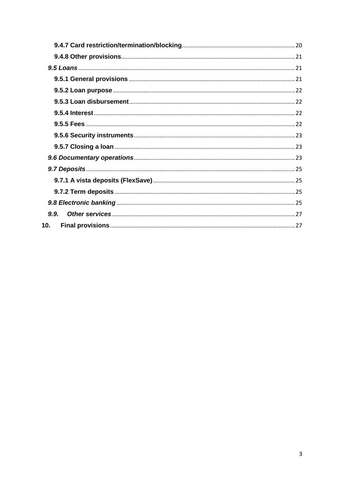| 10 <sub>1</sub> |  |
|-----------------|--|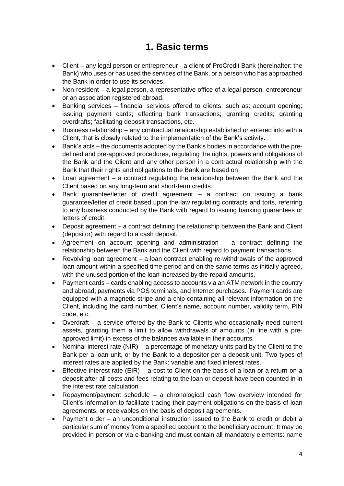# **1. Basic terms**

- <span id="page-3-0"></span> Client – any legal person or entrepreneur - a client of ProCredit Bank (hereinafter: the Bank) who uses or has used the services of the Bank, or a person who has approached the Bank in order to use its services.
- Non-resident a legal person, a representative office of a legal person, entrepreneur or an association registered abroad.
- Banking services financial services offered to clients, such as: account opening; issuing payment cards; effecting bank transactions; granting credits; granting overdrafts; facilitating deposit transactions, etc.
- Business relationship any contractual relationship established or entered into with a Client, that is closely related to the implementation of the Bank's activity.
- Bank's acts the documents adopted by the Bank's bodies in accordance with the predefined and pre-approved procedures, regulating the rights, powers and obligations of the Bank and the Client and any other person in a contractual relationship with the Bank that their rights and obligations to the Bank are based on.
- Loan agreement a contract regulating the relationship between the Bank and the Client based on any long-term and short-term credits.
- Bank guarantee/letter of credit agreement a contract on issuing a bank guarantee/letter of credit based upon the law regulating contracts and torts, referring to any business conducted by the Bank with regard to issuing banking guarantees or letters of credit.
- Deposit agreement a contract defining the relationship between the Bank and Client (depositor) with regard to a cash deposit.
- Agreement on account opening and administration a contract defining the relationship between the Bank and the Client with regard to payment transactions.
- Revolving loan agreement a loan contract enabling re-withdrawals of the approved loan amount within a specified time period and on the same terms as initially agreed, with the unused portion of the loan increased by the repaid amounts.
- Payment cards cards enabling access to accounts via an ATM network in the country and abroad; payments via POS terminals, and Internet purchases. Payment cards are equipped with a magnetic stripe and a chip containing all relevant information on the Client, including the card number, Client's name, account number, validity term, PIN code, etc.
- Overdraft a service offered by the Bank to Clients who occasionally need current assets, granting them a limit to allow withdrawals of amounts (in line with a preapproved limit) in excess of the balances available in their accounts.
- Nominal interest rate (NIR) a percentage of monetary units paid by the Client to the Bank per a loan unit, or by the Bank to a depositor per a deposit unit. Two types of interest rates are applied by the Bank: variable and fixed interest rates.
- **Effective interest rate (EIR) a cost to Client on the basis of a loan or a return on a** deposit after all costs and fees relating to the loan or deposit have been counted in in the interest rate calculation.
- Repayment/payment schedule a chronological cash flow overview intended for Client's information to facilitate tracing their payment obligations on the basis of loan agreements, or receivables on the basis of deposit agreements.
- Payment order an unconditional instruction issued to the Bank to credit or debit a particular sum of money from a specified account to the beneficiary account. It may be provided in person or via e-banking and must contain all mandatory elements: name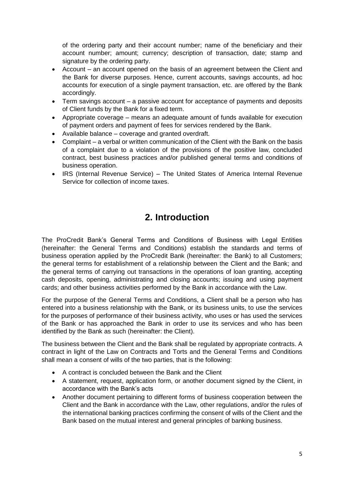of the ordering party and their account number; name of the beneficiary and their account number; amount; currency; description of transaction, date; stamp and signature by the ordering party.

- Account an account opened on the basis of an agreement between the Client and the Bank for diverse purposes. Hence, current accounts, savings accounts, ad hoc accounts for execution of a single payment transaction, etc. are offered by the Bank accordingly.
- Term savings account a passive account for acceptance of payments and deposits of Client funds by the Bank for a fixed term.
- Appropriate coverage means an adequate amount of funds available for execution of payment orders and payment of fees for services rendered by the Bank.
- Available balance coverage and granted overdraft.
- Complaint a verbal or written communication of the Client with the Bank on the basis of a complaint due to a violation of the provisions of the positive law, concluded contract, best business practices and/or published general terms and conditions of business operation.
- IRS (Internal Revenue Service) The United States of America Internal Revenue Service for collection of income taxes.

# **2. Introduction**

<span id="page-4-0"></span>The ProCredit Bank's General Terms and Conditions of Business with Legal Entities (hereinafter: the General Terms and Conditions) establish the standards and terms of business operation applied by the ProCredit Bank (hereinafter: the Bank) to all Customers; the general terms for establishment of a relationship between the Client and the Bank; and the general terms of carrying out transactions in the operations of loan granting, accepting cash deposits, opening, administrating and closing accounts; issuing and using payment cards; and other business activities performed by the Bank in accordance with the Law.

For the purpose of the General Terms and Conditions, a Client shall be a person who has entered into a business relationship with the Bank, or its business units, to use the services for the purposes of performance of their business activity, who uses or has used the services of the Bank or has approached the Bank in order to use its services and who has been identified by the Bank as such (hereinafter: the Client).

The business between the Client and the Bank shall be regulated by appropriate contracts. A contract in light of the Law on Contracts and Torts and the General Terms and Conditions shall mean a consent of wills of the two parties, that is the following:

- A contract is concluded between the Bank and the Client
- A statement, request, application form, or another document signed by the Client, in accordance with the Bank's acts
- Another document pertaining to different forms of business cooperation between the Client and the Bank in accordance with the Law, other regulations, and/or the rules of the international banking practices confirming the consent of wills of the Client and the Bank based on the mutual interest and general principles of banking business.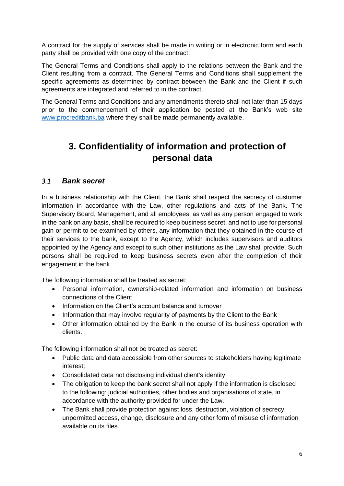A contract for the supply of services shall be made in writing or in electronic form and each party shall be provided with one copy of the contract.

The General Terms and Conditions shall apply to the relations between the Bank and the Client resulting from a contract. The General Terms and Conditions shall supplement the specific agreements as determined by contract between the Bank and the Client if such agreements are integrated and referred to in the contract.

The General Terms and Conditions and any amendments thereto shall not later than 15 days prior to the commencement of their application be posted at the Bank's web site [www.procreditbank.ba](http://www.procreditbank.ba/) where they shall be made permanently available.

# <span id="page-5-0"></span>**3. Confidentiality of information and protection of personal data**

## <span id="page-5-1"></span>*3.1 Bank secret*

In a business relationship with the Client, the Bank shall respect the secrecy of customer information in accordance with the Law, other regulations and acts of the Bank. The Supervisory Board, Management, and all employees, as well as any person engaged to work in the bank on any basis, shall be required to keep business secret, and not to use for personal gain or permit to be examined by others, any information that they obtained in the course of their services to the bank, except to the Agency, which includes supervisors and auditors appointed by the Agency and except to such other institutions as the Law shall provide. Such persons shall be required to keep business secrets even after the completion of their engagement in the bank.

The following information shall be treated as secret:

- Personal information, ownership-related information and information on business connections of the Client
- Information on the Client's account balance and turnover
- Information that may involve regularity of payments by the Client to the Bank
- Other information obtained by the Bank in the course of its business operation with clients.

The following information shall not be treated as secret:

- Public data and data accessible from other sources to stakeholders having legitimate interest;
- Consolidated data not disclosing individual client's identity;
- The obligation to keep the bank secret shall not apply if the information is disclosed to the following: judicial authorities, other bodies and organisations of state, in accordance with the authority provided for under the Law.
- The Bank shall provide protection against loss, destruction, violation of secrecy, unpermitted access, change, disclosure and any other form of misuse of information available on its files.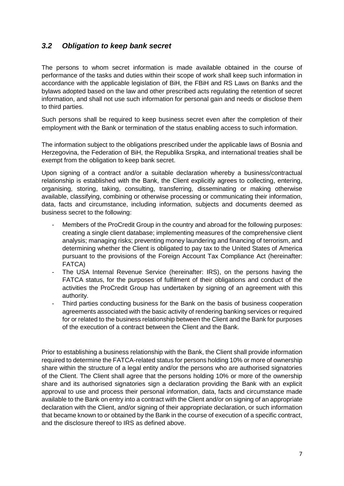## <span id="page-6-0"></span>*3.2 Obligation to keep bank secret*

The persons to whom secret information is made available obtained in the course of performance of the tasks and duties within their scope of work shall keep such information in accordance with the applicable legislation of BiH, the FBiH and RS Laws on Banks and the bylaws adopted based on the law and other prescribed acts regulating the retention of secret information, and shall not use such information for personal gain and needs or disclose them to third parties.

Such persons shall be required to keep business secret even after the completion of their employment with the Bank or termination of the status enabling access to such information.

The information subject to the obligations prescribed under the applicable laws of Bosnia and Herzegovina, the Federation of BiH, the Republika Srspka, and international treaties shall be exempt from the obligation to keep bank secret.

Upon signing of a contract and/or a suitable declaration whereby a business/contractual relationship is established with the Bank, the Client explicitly agrees to collecting, entering, organising, storing, taking, consulting, transferring, disseminating or making otherwise available, classifying, combining or otherwise processing or communicating their information, data, facts and circumstance, including information, subjects and documents deemed as business secret to the following:

- Members of the ProCredit Group in the country and abroad for the following purposes: creating a single client database; implementing measures of the comprehensive client analysis; managing risks; preventing money laundering and financing of terrorism, and determining whether the Client is obligated to pay tax to the United States of America pursuant to the provisions of the Foreign Account Tax Compliance Act (hereinafter: FATCA)
- The USA Internal Revenue Service (hereinafter: IRS), on the persons having the FATCA status, for the purposes of fulfilment of their obligations and conduct of the activities the ProCredit Group has undertaken by signing of an agreement with this authority.
- Third parties conducting business for the Bank on the basis of business cooperation agreements associated with the basic activity of rendering banking services or required for or related to the business relationship between the Client and the Bank for purposes of the execution of a contract between the Client and the Bank.

Prior to establishing a business relationship with the Bank, the Client shall provide information required to determine the FATCA-related status for persons holding 10% or more of ownership share within the structure of a legal entity and/or the persons who are authorised signatories of the Client. The Client shall agree that the persons holding 10% or more of the ownership share and its authorised signatories sign a declaration providing the Bank with an explicit approval to use and process their personal information, data, facts and circumstance made available to the Bank on entry into a contract with the Client and/or on signing of an appropriate declaration with the Client, and/or signing of their appropriate declaration, or such information that became known to or obtained by the Bank in the course of execution of a specific contract, and the disclosure thereof to IRS as defined above.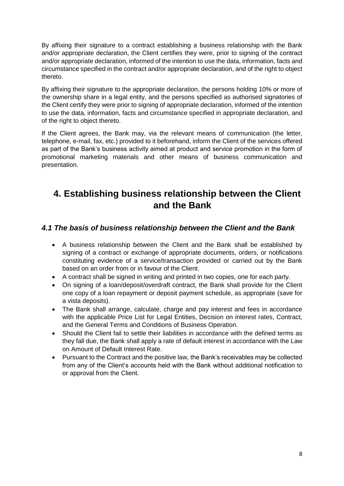By affixing their signature to a contract establishing a business relationship with the Bank and/or appropriate declaration, the Client certifies they were, prior to signing of the contract and/or appropriate declaration, informed of the intention to use the data, information, facts and circumstance specified in the contract and/or appropriate declaration, and of the right to object thereto.

By affixing their signature to the appropriate declaration, the persons holding 10% or more of the ownership share in a legal entity, and the persons specified as authorised signatories of the Client certify they were prior to signing of appropriate declaration, informed of the intention to use the data, information, facts and circumstance specified in appropriate declaration, and of the right to object thereto.

If the Client agrees, the Bank may, via the relevant means of communication (the letter, telephone, e-mail, fax, etc.) provided to it beforehand, inform the Client of the services offered as part of the Bank's business activity aimed at product and service promotion in the form of promotional marketing materials and other means of business communication and presentation.

# <span id="page-7-0"></span>**4. Establishing business relationship between the Client and the Bank**

## <span id="page-7-1"></span>*4.1 The basis of business relationship between the Client and the Bank*

- A business relationship between the Client and the Bank shall be established by signing of a contract or exchange of appropriate documents, orders, or notifications constituting evidence of a service/transaction provided or carried out by the Bank based on an order from or in favour of the Client.
- A contract shall be signed in writing and printed in two copies, one for each party.
- On signing of a loan/deposit/overdraft contract, the Bank shall provide for the Client one copy of a loan repayment or deposit payment schedule, as appropriate (save for a vista deposits).
- The Bank shall arrange, calculate, charge and pay interest and fees in accordance with the applicable Price List for Legal Entities, Decision on interest rates, Contract, and the General Terms and Conditions of Business Operation.
- Should the Client fail to settle their liabilities in accordance with the defined terms as they fall due, the Bank shall apply a rate of default interest in accordance with the Law on Amount of Default Interest Rate.
- Pursuant to the Contract and the positive law, the Bank's receivables may be collected from any of the Client's accounts held with the Bank without additional notification to or approval from the Client.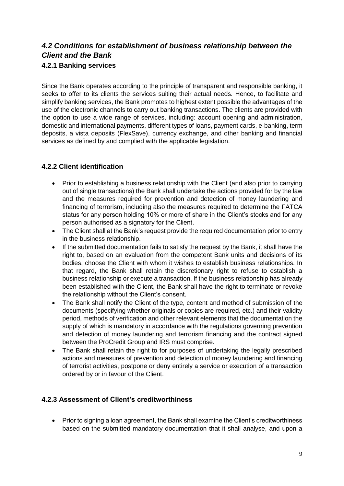# <span id="page-8-1"></span><span id="page-8-0"></span>*4.2 Conditions for establishment of business relationship between the Client and the Bank*  **4.2.1 Banking services**

Since the Bank operates according to the principle of transparent and responsible banking, it seeks to offer to its clients the services suiting their actual needs. Hence, to facilitate and simplify banking services, the Bank promotes to highest extent possible the advantages of the use of the electronic channels to carry out banking transactions. The clients are provided with the option to use a wide range of services, including: account opening and administration, domestic and international payments, different types of loans, payment cards, e-banking, term deposits, a vista deposits (FlexSave), currency exchange, and other banking and financial services as defined by and complied with the applicable legislation.

## <span id="page-8-2"></span>**4.2.2 Client identification**

- Prior to establishing a business relationship with the Client (and also prior to carrying out of single transactions) the Bank shall undertake the actions provided for by the law and the measures required for prevention and detection of money laundering and financing of terrorism, including also the measures required to determine the FATCA status for any person holding 10% or more of share in the Client's stocks and for any person authorised as a signatory for the Client.
- The Client shall at the Bank's request provide the required documentation prior to entry in the business relationship.
- If the submitted documentation fails to satisfy the request by the Bank, it shall have the right to, based on an evaluation from the competent Bank units and decisions of its bodies, choose the Client with whom it wishes to establish business relationships. In that regard, the Bank shall retain the discretionary right to refuse to establish a business relationship or execute a transaction. If the business relationship has already been established with the Client, the Bank shall have the right to terminate or revoke the relationship without the Client's consent.
- The Bank shall notify the Client of the type, content and method of submission of the documents (specifying whether originals or copies are required, etc.) and their validity period, methods of verification and other relevant elements that the documentation the supply of which is mandatory in accordance with the regulations governing prevention and detection of money laundering and terrorism financing and the contract signed between the ProCredit Group and IRS must comprise.
- The Bank shall retain the right to for purposes of undertaking the legally prescribed actions and measures of prevention and detection of money laundering and financing of terrorist activities, postpone or deny entirely a service or execution of a transaction ordered by or in favour of the Client.

## <span id="page-8-3"></span>**4.2.3 Assessment of Client's creditworthiness**

• Prior to signing a loan agreement, the Bank shall examine the Client's creditworthiness based on the submitted mandatory documentation that it shall analyse, and upon a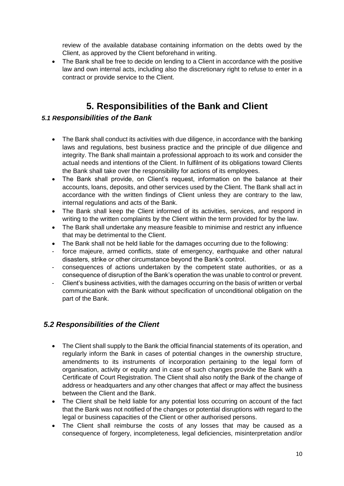review of the available database containing information on the debts owed by the Client, as approved by the Client beforehand in writing.

• The Bank shall be free to decide on lending to a Client in accordance with the positive law and own internal acts, including also the discretionary right to refuse to enter in a contract or provide service to the Client.

# **5. Responsibilities of the Bank and Client**

## <span id="page-9-1"></span><span id="page-9-0"></span>*5.1 Responsibilities of the Bank*

- The Bank shall conduct its activities with due diligence, in accordance with the banking laws and regulations, best business practice and the principle of due diligence and integrity. The Bank shall maintain a professional approach to its work and consider the actual needs and intentions of the Client. In fulfilment of its obligations toward Clients the Bank shall take over the responsibility for actions of its employees.
- The Bank shall provide, on Client's request, information on the balance at their accounts, loans, deposits, and other services used by the Client. The Bank shall act in accordance with the written findings of Client unless they are contrary to the law, internal regulations and acts of the Bank.
- The Bank shall keep the Client informed of its activities, services, and respond in writing to the written complaints by the Client within the term provided for by the law.
- The Bank shall undertake any measure feasible to minimise and restrict any influence that may be detrimental to the Client.
- The Bank shall not be held liable for the damages occurring due to the following:
- force majeure, armed conflicts, state of emergency, earthquake and other natural disasters, strike or other circumstance beyond the Bank's control.
- consequences of actions undertaken by the competent state authorities, or as a consequence of disruption of the Bank's operation the was unable to control or prevent.
- Client's business activities, with the damages occurring on the basis of written or verbal communication with the Bank without specification of unconditional obligation on the part of the Bank.

## <span id="page-9-2"></span>*5.2 Responsibilities of the Client*

- The Client shall supply to the Bank the official financial statements of its operation, and regularly inform the Bank in cases of potential changes in the ownership structure, amendments to its instruments of incorporation pertaining to the legal form of organisation, activity or equity and in case of such changes provide the Bank with a Certificate of Court Registration. The Client shall also notify the Bank of the change of address or headquarters and any other changes that affect or may affect the business between the Client and the Bank.
- The Client shall be held liable for any potential loss occurring on account of the fact that the Bank was not notified of the changes or potential disruptions with regard to the legal or business capacities of the Client or other authorised persons.
- The Client shall reimburse the costs of any losses that may be caused as a consequence of forgery, incompleteness, legal deficiencies, misinterpretation and/or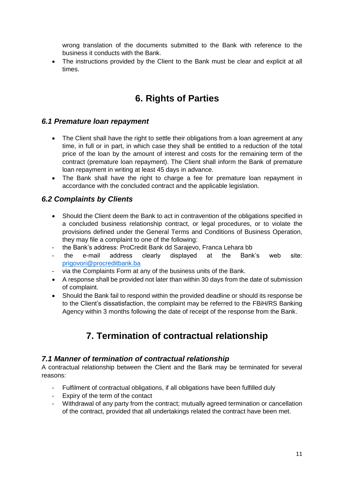wrong translation of the documents submitted to the Bank with reference to the business it conducts with the Bank.

 The instructions provided by the Client to the Bank must be clear and explicit at all times.

# **6. Rights of Parties**

## <span id="page-10-1"></span><span id="page-10-0"></span>*6.1 Premature loan repayment*

- The Client shall have the right to settle their obligations from a loan agreement at any time, in full or in part, in which case they shall be entitled to a reduction of the total price of the loan by the amount of interest and costs for the remaining term of the contract (premature loan repayment). The Client shall inform the Bank of premature loan repayment in writing at least 45 days in advance.
- The Bank shall have the right to charge a fee for premature loan repayment in accordance with the concluded contract and the applicable legislation.

## <span id="page-10-2"></span>*6.2 Complaints by Clients*

- Should the Client deem the Bank to act in contravention of the obligations specified in a concluded business relationship contract, or legal procedures, or to violate the provisions defined under the General Terms and Conditions of Business Operation, they may file a complaint to one of the following:
- the Bank's address: ProCredit Bank dd Sarajevo, Franca Lehara bb
- the e-mail address clearly displayed at the Bank's web site: [prigovori@procreditbank.ba](mailto:prigovori@procreditbank.ba)
- via the Complaints Form at any of the business units of the Bank.
- A response shall be provided not later than within 30 days from the date of submission of complaint.
- Should the Bank fail to respond within the provided deadline or should its response be to the Client's dissatisfaction, the complaint may be referred to the FBiH/RS Banking Agency within 3 months following the date of receipt of the response from the Bank.

# **7. Termination of contractual relationship**

## <span id="page-10-4"></span><span id="page-10-3"></span>*7.1 Manner of termination of contractual relationship*

A contractual relationship between the Client and the Bank may be terminated for several reasons:

- Fulfilment of contractual obligations, if all obligations have been fulfilled duly
- Expiry of the term of the contact
- Withdrawal of any party from the contract; mutually agreed termination or cancellation of the contract, provided that all undertakings related the contract have been met.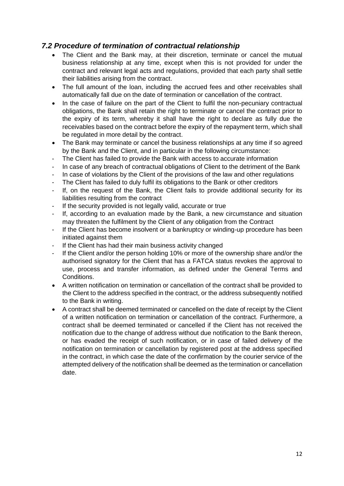## <span id="page-11-0"></span>*7.2 Procedure of termination of contractual relationship*

- The Client and the Bank may, at their discretion, terminate or cancel the mutual business relationship at any time, except when this is not provided for under the contract and relevant legal acts and regulations, provided that each party shall settle their liabilities arising from the contract.
- The full amount of the loan, including the accrued fees and other receivables shall automatically fall due on the date of termination or cancellation of the contract.
- In the case of failure on the part of the Client to fulfil the non-pecuniary contractual obligations, the Bank shall retain the right to terminate or cancel the contract prior to the expiry of its term, whereby it shall have the right to declare as fully due the receivables based on the contract before the expiry of the repayment term, which shall be regulated in more detail by the contract.
- The Bank may terminate or cancel the business relationships at any time if so agreed by the Bank and the Client, and in particular in the following circumstance:
- The Client has failed to provide the Bank with access to accurate information
- In case of any breach of contractual obligations of Client to the detriment of the Bank
- In case of violations by the Client of the provisions of the law and other regulations
- The Client has failed to duly fulfil its obligations to the Bank or other creditors
- If, on the request of the Bank, the Client fails to provide additional security for its liabilities resulting from the contract
- If the security provided is not legally valid, accurate or true
- If, according to an evaluation made by the Bank, a new circumstance and situation may threaten the fulfilment by the Client of any obligation from the Contract
- If the Client has become insolvent or a bankruptcy or winding-up procedure has been initiated against them
- If the Client has had their main business activity changed
- If the Client and/or the person holding 10% or more of the ownership share and/or the authorised signatory for the Client that has a FATCA status revokes the approval to use, process and transfer information, as defined under the General Terms and Conditions.
- A written notification on termination or cancellation of the contract shall be provided to the Client to the address specified in the contract, or the address subsequently notified to the Bank in writing.
- A contract shall be deemed terminated or cancelled on the date of receipt by the Client of a written notification on termination or cancellation of the contract. Furthermore, a contract shall be deemed terminated or cancelled if the Client has not received the notification due to the change of address without due notification to the Bank thereon, or has evaded the receipt of such notification, or in case of failed delivery of the notification on termination or cancellation by registered post at the address specified in the contract, in which case the date of the confirmation by the courier service of the attempted delivery of the notification shall be deemed as the termination or cancellation date.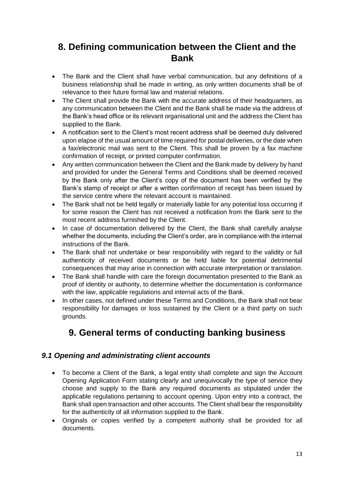# <span id="page-12-0"></span>**8. Defining communication between the Client and the Bank**

- The Bank and the Client shall have verbal communication, but any definitions of a business relationship shall be made in writing, as only written documents shall be of relevance to their future formal law and material relations.
- The Client shall provide the Bank with the accurate address of their headquarters, as any communication between the Client and the Bank shall be made via the address of the Bank's head office or its relevant organisational unit and the address the Client has supplied to the Bank.
- A notification sent to the Client's most recent address shall be deemed duly delivered upon elapse of the usual amount of time required for postal deliveries, or the date when a fax/electronic mail was sent to the Client. This shall be proven by a fax machine confirmation of receipt, or printed computer confirmation.
- Any written communication between the Client and the Bank made by delivery by hand and provided for under the General Terms and Conditions shall be deemed received by the Bank only after the Client's copy of the document has been verified by the Bank's stamp of receipt or after a written confirmation of receipt has been issued by the service centre where the relevant account is maintained.
- The Bank shall not be held legally or materially liable for any potential loss occurring if for some reason the Client has not received a notification from the Bank sent to the most recent address furnished by the Client.
- In case of documentation delivered by the Client, the Bank shall carefully analyse whether the documents, including the Client's order, are in compliance with the internal instructions of the Bank.
- The Bank shall not undertake or bear responsibility with regard to the validity or full authenticity of received documents or be held liable for potential detrimental consequences that may arise in connection with accurate interpretation or translation.
- The Bank shall handle with care the foreign documentation presented to the Bank as proof of identity or authority, to determine whether the documentation is conformance with the law, applicable regulations and internal acts of the Bank.
- In other cases, not defined under these Terms and Conditions, the Bank shall not bear responsibility for damages or loss sustained by the Client or a third party on such grounds.

# **9. General terms of conducting banking business**

## <span id="page-12-2"></span><span id="page-12-1"></span>*9.1 Opening and administrating client accounts*

- To become a Client of the Bank, a legal entity shall complete and sign the Account Opening Application Form stating clearly and unequivocally the type of service they choose and supply to the Bank any required documents as stipulated under the applicable regulations pertaining to account opening. Upon entry into a contract, the Bank shall open transaction and other accounts. The Client shall bear the responsibility for the authenticity of all information supplied to the Bank.
- Originals or copies verified by a competent authority shall be provided for all documents.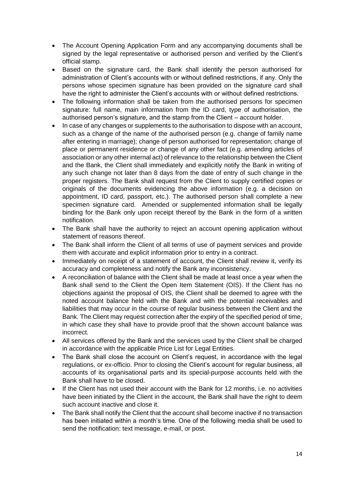- The Account Opening Application Form and any accompanying documents shall be signed by the legal representative or authorised person and verified by the Client's official stamp.
- Based on the signature card, the Bank shall identify the person authorised for administration of Client's accounts with or without defined restrictions, if any. Only the persons whose specimen signature has been provided on the signature card shall have the right to administer the Client's accounts with or without defined restrictions.
- The following information shall be taken from the authorised persons for specimen signature: full name, main information from the ID card, type of authorisation, the authorised person's signature, and the stamp from the Client – account holder.
- In case of any changes or supplements to the authorisation to dispose with an account, such as a change of the name of the authorised person (e.g. change of family name after entering in marriage); change of person authorised for representation; change of place or permanent residence or change of any other fact (e.g. amending articles of association or any other internal act) of relevance to the relationship between the Client and the Bank, the Client shall immediately and explicitly notify the Bank in writing of any such change not later than 8 days from the date of entry of such change in the proper registers. The Bank shall request from the Client to supply certified copies or originals of the documents evidencing the above information (e.g. a decision on appointment, ID card, passport, etc.). The authorised person shall complete a new specimen signature card. Amended or supplemented information shall be legally binding for the Bank only upon receipt thereof by the Bank in the form of a written notification.
- The Bank shall have the authority to reject an account opening application without statement of reasons thereof.
- The Bank shall inform the Client of all terms of use of payment services and provide them with accurate and explicit information prior to entry in a contract.
- Immediately on receipt of a statement of account, the Client shall review it, verify its accuracy and completeness and notify the Bank any inconsistency.
- A reconciliation of balance with the Client shall be made at least once a year when the Bank shall send to the Client the Open Item Statement (OIS). If the Client has no objections against the proposal of OIS, the Client shall be deemed to agree with the noted account balance held with the Bank and with the potential receivables and liabilities that may occur in the course of regular business between the Client and the Bank. The Client may request correction after the expiry of the specified period of time, in which case they shall have to provide proof that the shown account balance was incorrect.
- All services offered by the Bank and the services used by the Client shall be charged in accordance with the applicable Price List for Legal Entities.
- The Bank shall close the account on Client's request, in accordance with the legal regulations, or ex-officio. Prior to closing the Client's account for regular business, all accounts of its organisational parts and its special-purpose accounts held with the Bank shall have to be closed.
- If the Client has not used their account with the Bank for 12 months, i.e. no activities have been initiated by the Client in the account, the Bank shall have the right to deem such account inactive and close it.
- The Bank shall notify the Client that the account shall become inactive if no transaction has been initiated within a month's time. One of the following media shall be used to send the notification: text message, e-mail, or post.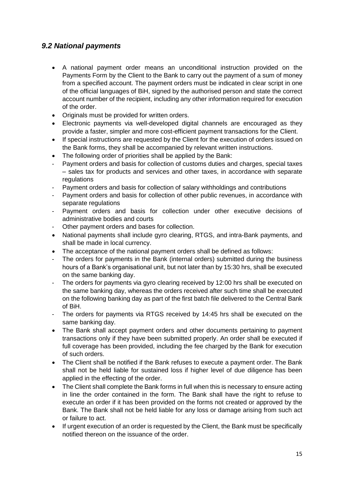## <span id="page-14-0"></span>*9.2 National payments*

- A national payment order means an unconditional instruction provided on the Payments Form by the Client to the Bank to carry out the payment of a sum of money from a specified account. The payment orders must be indicated in clear script in one of the official languages of BiH, signed by the authorised person and state the correct account number of the recipient, including any other information required for execution of the order.
- Originals must be provided for written orders.
- Electronic payments via well-developed digital channels are encouraged as they provide a faster, simpler and more cost-efficient payment transactions for the Client.
- If special instructions are requested by the Client for the execution of orders issued on the Bank forms, they shall be accompanied by relevant written instructions.
- The following order of priorities shall be applied by the Bank:
- Payment orders and basis for collection of customs duties and charges, special taxes – sales tax for products and services and other taxes, in accordance with separate regulations
- Payment orders and basis for collection of salary withholdings and contributions
- Payment orders and basis for collection of other public revenues, in accordance with separate regulations
- Payment orders and basis for collection under other executive decisions of administrative bodies and courts
- Other payment orders and bases for collection.
- National payments shall include gyro clearing, RTGS, and intra-Bank payments, and shall be made in local currency.
- The acceptance of the national payment orders shall be defined as follows:
- The orders for payments in the Bank (internal orders) submitted during the business hours of a Bank's organisational unit, but not later than by 15:30 hrs, shall be executed on the same banking day.
- The orders for payments via gyro clearing received by 12:00 hrs shall be executed on the same banking day, whereas the orders received after such time shall be executed on the following banking day as part of the first batch file delivered to the Central Bank of BiH.
- The orders for payments via RTGS received by 14:45 hrs shall be executed on the same banking day.
- The Bank shall accept payment orders and other documents pertaining to payment transactions only if they have been submitted properly. An order shall be executed if full coverage has been provided, including the fee charged by the Bank for execution of such orders.
- The Client shall be notified if the Bank refuses to execute a payment order. The Bank shall not be held liable for sustained loss if higher level of due diligence has been applied in the effecting of the order.
- The Client shall complete the Bank forms in full when this is necessary to ensure acting in line the order contained in the form. The Bank shall have the right to refuse to execute an order if it has been provided on the forms not created or approved by the Bank. The Bank shall not be held liable for any loss or damage arising from such act or failure to act.
- If urgent execution of an order is requested by the Client, the Bank must be specifically notified thereon on the issuance of the order.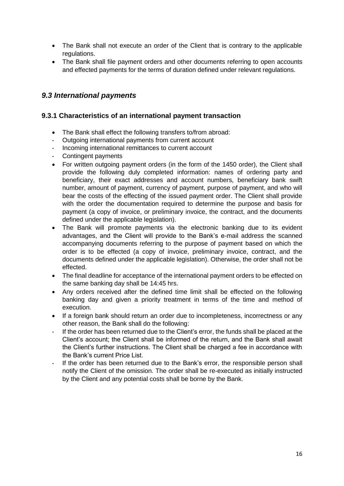- The Bank shall not execute an order of the Client that is contrary to the applicable regulations.
- The Bank shall file payment orders and other documents referring to open accounts and effected payments for the terms of duration defined under relevant regulations.

## <span id="page-15-0"></span>*9.3 International payments*

#### <span id="page-15-1"></span>**9.3.1 Characteristics of an international payment transaction**

- The Bank shall effect the following transfers to/from abroad:
- Outgoing international payments from current account
- Incoming international remittances to current account
- Contingent payments
- For written outgoing payment orders (in the form of the 1450 order), the Client shall provide the following duly completed information: names of ordering party and beneficiary, their exact addresses and account numbers, beneficiary bank swift number, amount of payment, currency of payment, purpose of payment, and who will bear the costs of the effecting of the issued payment order. The Client shall provide with the order the documentation required to determine the purpose and basis for payment (a copy of invoice, or preliminary invoice, the contract, and the documents defined under the applicable legislation).
- The Bank will promote payments via the electronic banking due to its evident advantages, and the Client will provide to the Bank's e-mail address the scanned accompanying documents referring to the purpose of payment based on which the order is to be effected (a copy of invoice, preliminary invoice, contract, and the documents defined under the applicable legislation). Otherwise, the order shall not be effected.
- The final deadline for acceptance of the international payment orders to be effected on the same banking day shall be 14:45 hrs.
- Any orders received after the defined time limit shall be effected on the following banking day and given a priority treatment in terms of the time and method of execution.
- If a foreign bank should return an order due to incompleteness, incorrectness or any other reason, the Bank shall do the following:
- If the order has been returned due to the Client's error, the funds shall be placed at the Client's account; the Client shall be informed of the return, and the Bank shall await the Client's further instructions. The Client shall be charged a fee in accordance with the Bank's current Price List.
- If the order has been returned due to the Bank's error, the responsible person shall notify the Client of the omission. The order shall be re-executed as initially instructed by the Client and any potential costs shall be borne by the Bank.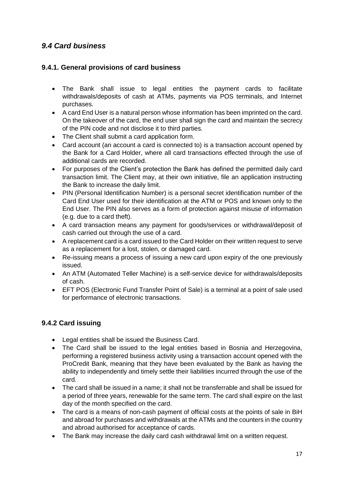# <span id="page-16-0"></span>*9.4 Card business*

### <span id="page-16-1"></span>**9.4.1. General provisions of card business**

- The Bank shall issue to legal entities the payment cards to facilitate withdrawals/deposits of cash at ATMs, payments via POS terminals, and Internet purchases.
- A card End User is a natural person whose information has been imprinted on the card. On the takeover of the card, the end user shall sign the card and maintain the secrecy of the PIN code and not disclose it to third parties.
- The Client shall submit a card application form.
- Card account (an account a card is connected to) is a transaction account opened by the Bank for a Card Holder, where all card transactions effected through the use of additional cards are recorded.
- For purposes of the Client's protection the Bank has defined the permitted daily card transaction limit. The Client may, at their own initiative, file an application instructing the Bank to increase the daily limit.
- PIN (Personal Identification Number) is a personal secret identification number of the Card End User used for their identification at the ATM or POS and known only to the End User. The PIN also serves as a form of protection against misuse of information (e.g. due to a card theft).
- A card transaction means any payment for goods/services or withdrawal/deposit of cash carried out through the use of a card.
- A replacement card is a card issued to the Card Holder on their written request to serve as a replacement for a lost, stolen, or damaged card.
- Re-issuing means a process of issuing a new card upon expiry of the one previously issued.
- An ATM (Automated Teller Machine) is a self-service device for withdrawals/deposits of cash.
- EFT POS (Electronic Fund Transfer Point of Sale) is a terminal at a point of sale used for performance of electronic transactions.

## <span id="page-16-2"></span>**9.4.2 Card issuing**

- Legal entities shall be issued the Business Card.
- The Card shall be issued to the legal entities based in Bosnia and Herzegovina, performing a registered business activity using a transaction account opened with the ProCredit Bank, meaning that they have been evaluated by the Bank as having the ability to independently and timely settle their liabilities incurred through the use of the card.
- The card shall be issued in a name; it shall not be transferrable and shall be issued for a period of three years, renewable for the same term. The card shall expire on the last day of the month specified on the card.
- The card is a means of non-cash payment of official costs at the points of sale in BiH and abroad for purchases and withdrawals at the ATMs and the counters in the country and abroad authorised for acceptance of cards.
- The Bank may increase the daily card cash withdrawal limit on a written request.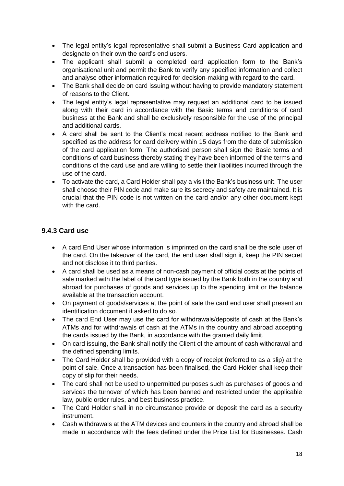- The legal entity's legal representative shall submit a Business Card application and designate on their own the card's end users.
- The applicant shall submit a completed card application form to the Bank's organisational unit and permit the Bank to verify any specified information and collect and analyse other information required for decision-making with regard to the card.
- The Bank shall decide on card issuing without having to provide mandatory statement of reasons to the Client.
- The legal entity's legal representative may request an additional card to be issued along with their card in accordance with the Basic terms and conditions of card business at the Bank and shall be exclusively responsible for the use of the principal and additional cards.
- A card shall be sent to the Client's most recent address notified to the Bank and specified as the address for card delivery within 15 days from the date of submission of the card application form. The authorised person shall sign the Basic terms and conditions of card business thereby stating they have been informed of the terms and conditions of the card use and are willing to settle their liabilities incurred through the use of the card.
- To activate the card, a Card Holder shall pay a visit the Bank's business unit. The user shall choose their PIN code and make sure its secrecy and safety are maintained. It is crucial that the PIN code is not written on the card and/or any other document kept with the card.

### <span id="page-17-0"></span>**9.4.3 Card use**

- A card End User whose information is imprinted on the card shall be the sole user of the card. On the takeover of the card, the end user shall sign it, keep the PIN secret and not disclose it to third parties.
- A card shall be used as a means of non-cash payment of official costs at the points of sale marked with the label of the card type issued by the Bank both in the country and abroad for purchases of goods and services up to the spending limit or the balance available at the transaction account.
- On payment of goods/services at the point of sale the card end user shall present an identification document if asked to do so.
- The card End User may use the card for withdrawals/deposits of cash at the Bank's ATMs and for withdrawals of cash at the ATMs in the country and abroad accepting the cards issued by the Bank, in accordance with the granted daily limit.
- On card issuing, the Bank shall notify the Client of the amount of cash withdrawal and the defined spending limits.
- The Card Holder shall be provided with a copy of receipt (referred to as a slip) at the point of sale. Once a transaction has been finalised, the Card Holder shall keep their copy of slip for their needs.
- The card shall not be used to unpermitted purposes such as purchases of goods and services the turnover of which has been banned and restricted under the applicable law, public order rules, and best business practice.
- The Card Holder shall in no circumstance provide or deposit the card as a security instrument.
- Cash withdrawals at the ATM devices and counters in the country and abroad shall be made in accordance with the fees defined under the Price List for Businesses. Cash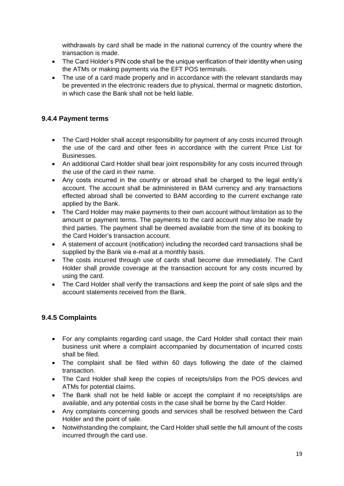withdrawals by card shall be made in the national currency of the country where the transaction is made.

- The Card Holder's PIN code shall be the unique verification of their identity when using the ATMs or making payments via the EFT POS terminals.
- The use of a card made properly and in accordance with the relevant standards may be prevented in the electronic readers due to physical, thermal or magnetic distortion, in which case the Bank shall not be held liable.

## <span id="page-18-0"></span>**9.4.4 Payment terms**

- The Card Holder shall accept responsibility for payment of any costs incurred through the use of the card and other fees in accordance with the current Price List for Businesses.
- An additional Card Holder shall bear joint responsibility for any costs incurred through the use of the card in their name.
- Any costs incurred in the country or abroad shall be charged to the legal entity's account. The account shall be administered in BAM currency and any transactions effected abroad shall be converted to BAM according to the current exchange rate applied by the Bank.
- The Card Holder may make payments to their own account without limitation as to the amount or payment terms. The payments to the card account may also be made by third parties. The payment shall be deemed available from the time of its booking to the Card Holder's transaction account.
- A statement of account (notification) including the recorded card transactions shall be supplied by the Bank via e-mail at a monthly basis.
- The costs incurred through use of cards shall become due immediately. The Card Holder shall provide coverage at the transaction account for any costs incurred by using the card.
- The Card Holder shall verify the transactions and keep the point of sale slips and the account statements received from the Bank.

## <span id="page-18-1"></span>**9.4.5 Complaints**

- For any complaints regarding card usage, the Card Holder shall contact their main business unit where a complaint accompanied by documentation of incurred costs shall be filed.
- The complaint shall be filed within 60 days following the date of the claimed transaction.
- The Card Holder shall keep the copies of receipts/slips from the POS devices and ATMs for potential claims.
- The Bank shall not be held liable or accept the complaint if no receipts/slips are available, and any potential costs in the case shall be borne by the Card Holder.
- Any complaints concerning goods and services shall be resolved between the Card Holder and the point of sale.
- Notwithstanding the complaint, the Card Holder shall settle the full amount of the costs incurred through the card use.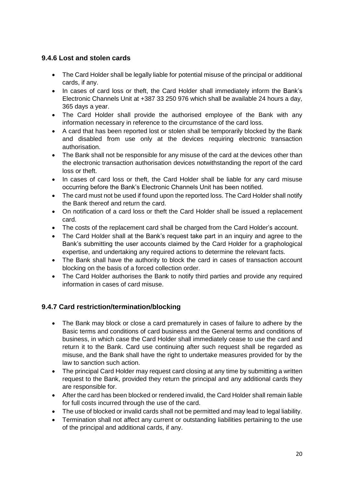## <span id="page-19-0"></span>**9.4.6 Lost and stolen cards**

- The Card Holder shall be legally liable for potential misuse of the principal or additional cards, if any.
- In cases of card loss or theft, the Card Holder shall immediately inform the Bank's Electronic Channels Unit at +387 33 250 976 which shall be available 24 hours a day, 365 days a year.
- The Card Holder shall provide the authorised employee of the Bank with any information necessary in reference to the circumstance of the card loss.
- A card that has been reported lost or stolen shall be temporarily blocked by the Bank and disabled from use only at the devices requiring electronic transaction authorisation.
- The Bank shall not be responsible for any misuse of the card at the devices other than the electronic transaction authorisation devices notwithstanding the report of the card loss or theft.
- In cases of card loss or theft, the Card Holder shall be liable for any card misuse occurring before the Bank's Electronic Channels Unit has been notified.
- The card must not be used if found upon the reported loss. The Card Holder shall notify the Bank thereof and return the card.
- On notification of a card loss or theft the Card Holder shall be issued a replacement card.
- The costs of the replacement card shall be charged from the Card Holder's account.
- The Card Holder shall at the Bank's request take part in an inquiry and agree to the Bank's submitting the user accounts claimed by the Card Holder for a graphological expertise, and undertaking any required actions to determine the relevant facts.
- The Bank shall have the authority to block the card in cases of transaction account blocking on the basis of a forced collection order.
- The Card Holder authorises the Bank to notify third parties and provide any required information in cases of card misuse.

## <span id="page-19-1"></span>**9.4.7 Card restriction/termination/blocking**

- The Bank may block or close a card prematurely in cases of failure to adhere by the Basic terms and conditions of card business and the General terms and conditions of business, in which case the Card Holder shall immediately cease to use the card and return it to the Bank. Card use continuing after such request shall be regarded as misuse, and the Bank shall have the right to undertake measures provided for by the law to sanction such action.
- The principal Card Holder may request card closing at any time by submitting a written request to the Bank, provided they return the principal and any additional cards they are responsible for.
- After the card has been blocked or rendered invalid, the Card Holder shall remain liable for full costs incurred through the use of the card.
- The use of blocked or invalid cards shall not be permitted and may lead to legal liability.
- Termination shall not affect any current or outstanding liabilities pertaining to the use of the principal and additional cards, if any.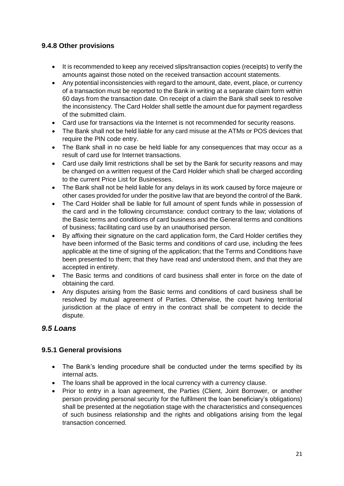## <span id="page-20-0"></span>**9.4.8 Other provisions**

- It is recommended to keep any received slips/transaction copies (receipts) to verify the amounts against those noted on the received transaction account statements.
- Any potential inconsistencies with regard to the amount, date, event, place, or currency of a transaction must be reported to the Bank in writing at a separate claim form within 60 days from the transaction date. On receipt of a claim the Bank shall seek to resolve the inconsistency. The Card Holder shall settle the amount due for payment regardless of the submitted claim.
- Card use for transactions via the Internet is not recommended for security reasons.
- The Bank shall not be held liable for any card misuse at the ATMs or POS devices that require the PIN code entry.
- The Bank shall in no case be held liable for any consequences that may occur as a result of card use for Internet transactions.
- Card use daily limit restrictions shall be set by the Bank for security reasons and may be changed on a written request of the Card Holder which shall be charged according to the current Price List for Businesses.
- The Bank shall not be held liable for any delays in its work caused by force majeure or other cases provided for under the positive law that are beyond the control of the Bank.
- The Card Holder shall be liable for full amount of spent funds while in possession of the card and in the following circumstance: conduct contrary to the law; violations of the Basic terms and conditions of card business and the General terms and conditions of business; facilitating card use by an unauthorised person.
- By affixing their signature on the card application form, the Card Holder certifies they have been informed of the Basic terms and conditions of card use, including the fees applicable at the time of signing of the application; that the Terms and Conditions have been presented to them; that they have read and understood them, and that they are accepted in entirety.
- The Basic terms and conditions of card business shall enter in force on the date of obtaining the card.
- Any disputes arising from the Basic terms and conditions of card business shall be resolved by mutual agreement of Parties. Otherwise, the court having territorial jurisdiction at the place of entry in the contract shall be competent to decide the dispute.

## <span id="page-20-1"></span>*9.5 Loans*

## <span id="page-20-2"></span>**9.5.1 General provisions**

- The Bank's lending procedure shall be conducted under the terms specified by its internal acts.
- The loans shall be approved in the local currency with a currency clause.
- Prior to entry in a loan agreement, the Parties (Client, Joint Borrower, or another person providing personal security for the fulfilment the loan beneficiary's obligations) shall be presented at the negotiation stage with the characteristics and consequences of such business relationship and the rights and obligations arising from the legal transaction concerned.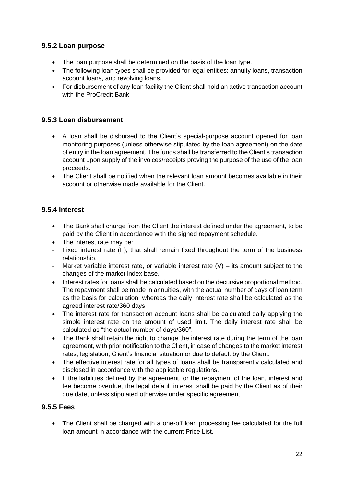### <span id="page-21-0"></span>**9.5.2 Loan purpose**

- The loan purpose shall be determined on the basis of the loan type.
- The following loan types shall be provided for legal entities: annuity loans, transaction account loans, and revolving loans.
- For disbursement of any loan facility the Client shall hold an active transaction account with the ProCredit Bank

#### <span id="page-21-1"></span>**9.5.3 Loan disbursement**

- A loan shall be disbursed to the Client's special-purpose account opened for loan monitoring purposes (unless otherwise stipulated by the loan agreement) on the date of entry in the loan agreement. The funds shall be transferred to the Client's transaction account upon supply of the invoices/receipts proving the purpose of the use of the loan proceeds.
- The Client shall be notified when the relevant loan amount becomes available in their account or otherwise made available for the Client.

### <span id="page-21-2"></span>**9.5.4 Interest**

- The Bank shall charge from the Client the interest defined under the agreement, to be paid by the Client in accordance with the signed repayment schedule.
- The interest rate may be:
- Fixed interest rate (F), that shall remain fixed throughout the term of the business relationship.
- Market variable interest rate, or variable interest rate  $(V)$  its amount subject to the changes of the market index base.
- Interest rates for loans shall be calculated based on the decursive proportional method. The repayment shall be made in annuities, with the actual number of days of loan term as the basis for calculation, whereas the daily interest rate shall be calculated as the agreed interest rate/360 days.
- The interest rate for transaction account loans shall be calculated daily applying the simple interest rate on the amount of used limit. The daily interest rate shall be calculated as "the actual number of days/360".
- The Bank shall retain the right to change the interest rate during the term of the loan agreement, with prior notification to the Client, in case of changes to the market interest rates, legislation, Client's financial situation or due to default by the Client.
- The effective interest rate for all types of loans shall be transparently calculated and disclosed in accordance with the applicable regulations.
- If the liabilities defined by the agreement, or the repayment of the loan, interest and fee become overdue, the legal default interest shall be paid by the Client as of their due date, unless stipulated otherwise under specific agreement.

#### <span id="page-21-3"></span>**9.5.5 Fees**

• The Client shall be charged with a one-off loan processing fee calculated for the full loan amount in accordance with the current Price List.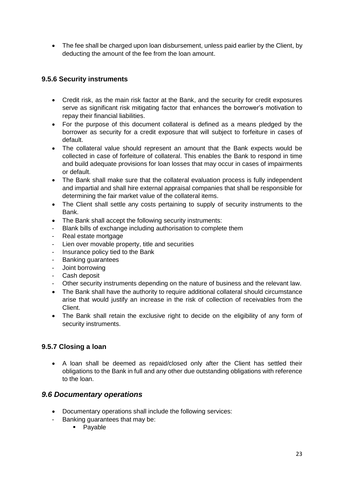• The fee shall be charged upon loan disbursement, unless paid earlier by the Client, by deducting the amount of the fee from the loan amount.

## <span id="page-22-0"></span>**9.5.6 Security instruments**

- Credit risk, as the main risk factor at the Bank, and the security for credit exposures serve as significant risk mitigating factor that enhances the borrower's motivation to repay their financial liabilities.
- For the purpose of this document collateral is defined as a means pledged by the borrower as security for a credit exposure that will subject to forfeiture in cases of default.
- The collateral value should represent an amount that the Bank expects would be collected in case of forfeiture of collateral. This enables the Bank to respond in time and build adequate provisions for loan losses that may occur in cases of impairments or default.
- The Bank shall make sure that the collateral evaluation process is fully independent and impartial and shall hire external appraisal companies that shall be responsible for determining the fair market value of the collateral items.
- The Client shall settle any costs pertaining to supply of security instruments to the Bank.
- The Bank shall accept the following security instruments:
- Blank bills of exchange including authorisation to complete them
- Real estate mortgage
- Lien over movable property, title and securities
- Insurance policy tied to the Bank
- Banking guarantees
- Joint borrowing
- Cash deposit
- Other security instruments depending on the nature of business and the relevant law.
- The Bank shall have the authority to require additional collateral should circumstance arise that would justify an increase in the risk of collection of receivables from the Client.
- The Bank shall retain the exclusive right to decide on the eligibility of any form of security instruments.

## <span id="page-22-1"></span>**9.5.7 Closing a loan**

 A loan shall be deemed as repaid/closed only after the Client has settled their obligations to the Bank in full and any other due outstanding obligations with reference to the loan.

## <span id="page-22-2"></span>*9.6 Documentary operations*

- Documentary operations shall include the following services:
- Banking guarantees that may be:
	- **Payable**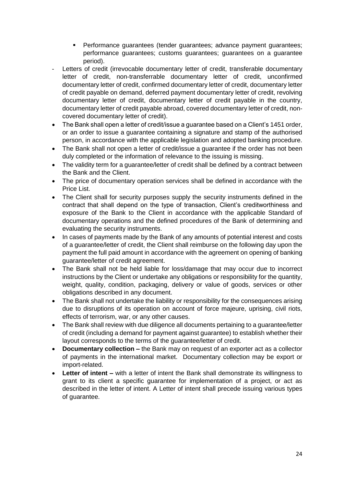- Performance guarantees (tender guarantees; advance payment guarantees; performance guarantees; customs guarantees; guarantees on a guarantee period).
- Letters of credit (irrevocable documentary letter of credit, transferable documentary letter of credit, non-transferrable documentary letter of credit, unconfirmed documentary letter of credit, confirmed documentary letter of credit, documentary letter of credit payable on demand, deferred payment documentary letter of credit, revolving documentary letter of credit, documentary letter of credit payable in the country, documentary letter of credit payable abroad, covered documentary letter of credit, noncovered documentary letter of credit).
- The Bank shall open a letter of credit/issue a quarantee based on a Client's 1451 order, or an order to issue a guarantee containing a signature and stamp of the authorised person, in accordance with the applicable legislation and adopted banking procedure.
- The Bank shall not open a letter of credit/issue a guarantee if the order has not been duly completed or the information of relevance to the issuing is missing.
- The validity term for a quarantee/letter of credit shall be defined by a contract between the Bank and the Client.
- The price of documentary operation services shall be defined in accordance with the Price List.
- The Client shall for security purposes supply the security instruments defined in the contract that shall depend on the type of transaction, Client's creditworthiness and exposure of the Bank to the Client in accordance with the applicable Standard of documentary operations and the defined procedures of the Bank of determining and evaluating the security instruments.
- In cases of payments made by the Bank of any amounts of potential interest and costs of a guarantee/letter of credit, the Client shall reimburse on the following day upon the payment the full paid amount in accordance with the agreement on opening of banking guarantee/letter of credit agreement.
- The Bank shall not be held liable for loss/damage that may occur due to incorrect instructions by the Client or undertake any obligations or responsibility for the quantity, weight, quality, condition, packaging, delivery or value of goods, services or other obligations described in any document.
- The Bank shall not undertake the liability or responsibility for the consequences arising due to disruptions of its operation on account of force majeure, uprising, civil riots, effects of terrorism, war, or any other causes.
- The Bank shall review with due diligence all documents pertaining to a guarantee/letter of credit (including a demand for payment against guarantee) to establish whether their layout corresponds to the terms of the guarantee/letter of credit.
- **Documentary collection –** the Bank may on request of an exporter act as a collector of payments in the international market. Documentary collection may be export or import-related.
- **Letter of intent –** with a letter of intent the Bank shall demonstrate its willingness to grant to its client a specific guarantee for implementation of a project, or act as described in the letter of intent. A Letter of intent shall precede issuing various types of guarantee.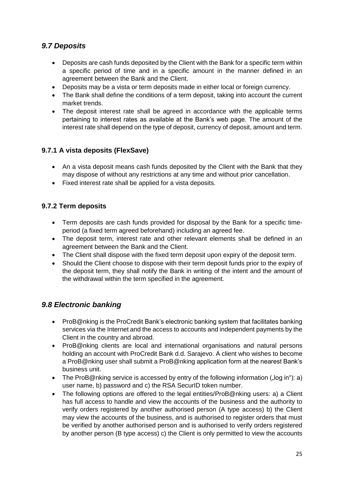# <span id="page-24-0"></span>*9.7 Deposits*

- Deposits are cash funds deposited by the Client with the Bank for a specific term within a specific period of time and in a specific amount in the manner defined in an agreement between the Bank and the Client.
- Deposits may be a vista or term deposits made in either local or foreign currency.
- The Bank shall define the conditions of a term deposit, taking into account the current market trends.
- The deposit interest rate shall be agreed in accordance with the applicable terms pertaining to interest rates as available at the Bank's web page. The amount of the interest rate shall depend on the type of deposit, currency of deposit, amount and term.

## <span id="page-24-1"></span>**9.7.1 A vista deposits (FlexSave)**

- An a vista deposit means cash funds deposited by the Client with the Bank that they may dispose of without any restrictions at any time and without prior cancellation.
- Fixed interest rate shall be applied for a vista deposits.

### <span id="page-24-2"></span>**9.7.2 Term deposits**

- Term deposits are cash funds provided for disposal by the Bank for a specific timeperiod (a fixed term agreed beforehand) including an agreed fee.
- The deposit term, interest rate and other relevant elements shall be defined in an agreement between the Bank and the Client.
- The Client shall dispose with the fixed term deposit upon expiry of the deposit term.
- Should the Client choose to dispose with their term deposit funds prior to the expiry of the deposit term, they shall notify the Bank in writing of the intent and the amount of the withdrawal within the term specified in the agreement.

## <span id="page-24-3"></span>*9.8 Electronic banking*

- ProB@nking is the ProCredit Bank's electronic banking system that facilitates banking services via the Internet and the access to accounts and independent payments by the Client in the country and abroad.
- ProB@nking clients are local and international organisations and natural persons holding an account with ProCredit Bank d.d. Sarajevo. A client who wishes to become a ProB@nking user shall submit a ProB@nking application form at the nearest Bank's business unit.
- The ProB@nking service is accessed by entry of the following information  $($ "log in"): a) user name, b) password and c) the RSA SecurID token number.
- The following options are offered to the legal entities/ProB@nking users: a) a Client has full access to handle and view the accounts of the business and the authority to verify orders registered by another authorised person (A type access) b) the Client may view the accounts of the business, and is authorised to register orders that must be verified by another authorised person and is authorised to verify orders registered by another person (B type access) c) the Client is only permitted to view the accounts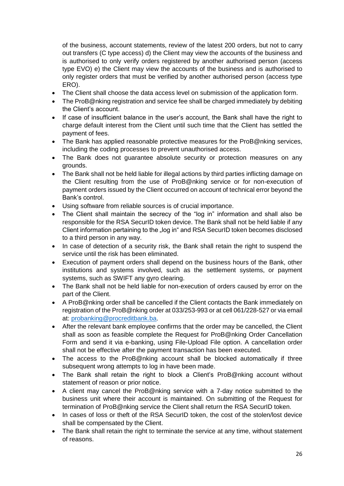of the business, account statements, review of the latest 200 orders, but not to carry out transfers (C type access) d) the Client may view the accounts of the business and is authorised to only verify orders registered by another authorised person (access type EVO) e) the Client may view the accounts of the business and is authorised to only register orders that must be verified by another authorised person (access type ERO).

- The Client shall choose the data access level on submission of the application form.
- The ProB@nking registration and service fee shall be charged immediately by debiting the Client's account.
- If case of insufficient balance in the user's account, the Bank shall have the right to charge default interest from the Client until such time that the Client has settled the payment of fees.
- The Bank has applied reasonable protective measures for the ProB@nking services, including the coding processes to prevent unauthorised access.
- The Bank does not quarantee absolute security or protection measures on any grounds.
- The Bank shall not be held liable for illegal actions by third parties inflicting damage on the Client resulting from the use of ProB@nking service or for non-execution of payment orders issued by the Client occurred on account of technical error beyond the Bank's control.
- Using software from reliable sources is of crucial importance.
- The Client shall maintain the secrecy of the "log in" information and shall also be responsible for the RSA SecurID token device. The Bank shall not be held liable if any Client information pertaining to the "log in" and RSA SecurID token becomes disclosed to a third person in any way.
- In case of detection of a security risk, the Bank shall retain the right to suspend the service until the risk has been eliminated.
- Execution of payment orders shall depend on the business hours of the Bank, other institutions and systems involved, such as the settlement systems, or payment systems, such as SWIFT any gyro clearing.
- The Bank shall not be held liable for non-execution of orders caused by error on the part of the Client.
- A ProB@nking order shall be cancelled if the Client contacts the Bank immediately on registration of the ProB@nking order at 033/253-993 or at cell 061/228-527 or via email at: [probanking@procreditbank.ba.](mailto:probanking@procreditbank.ba)
- After the relevant bank employee confirms that the order may be cancelled, the Client shall as soon as feasible complete the Request for ProB@nking Order Cancellation Form and send it via e-banking, using File-Upload File option. A cancellation order shall not be effective after the payment transaction has been executed.
- The access to the ProB@nking account shall be blocked automatically if three subsequent wrong attempts to log in have been made.
- The Bank shall retain the right to block a Client's ProB@nking account without statement of reason or prior notice.
- A client may cancel the ProB@nking service with a 7-day notice submitted to the business unit where their account is maintained. On submitting of the Request for termination of ProB@nking service the Client shall return the RSA SecurID token.
- In cases of loss or theft of the RSA SecurID token, the cost of the stolen/lost device shall be compensated by the Client.
- The Bank shall retain the right to terminate the service at any time, without statement of reasons.